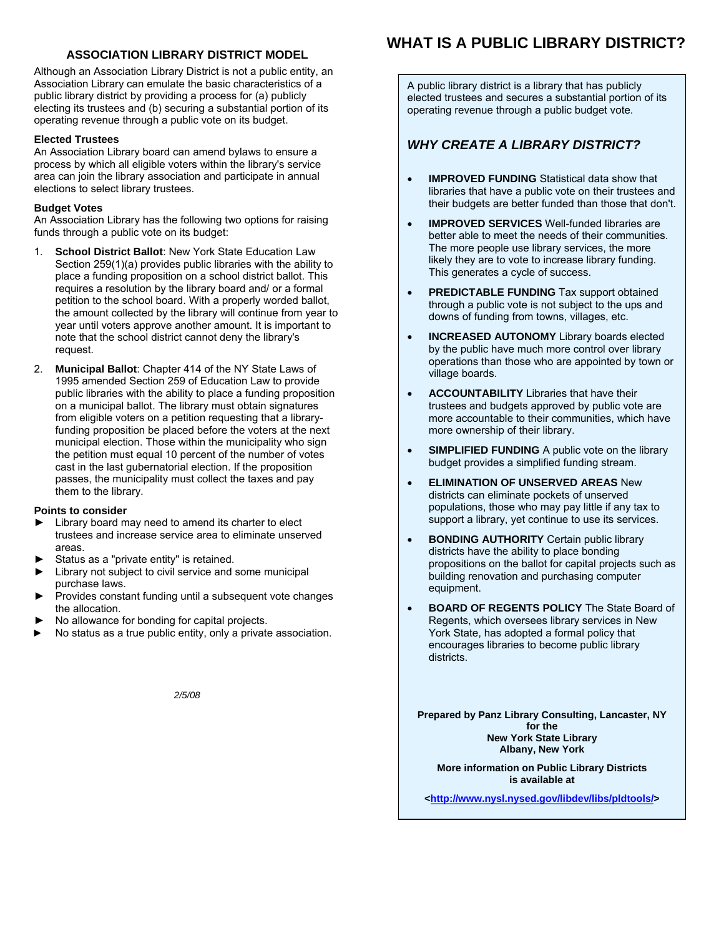## **ASSOCIATION LIBRARY DISTRICT MODEL**

Although an Association Library District is not a public entity, an Association Library can emulate the basic characteristics of a public library district by providing a process for (a) publicly electing its trustees and (b) securing a substantial portion of its operating revenue through a public vote on its budget.

## **Elected Trustees**

An Association Library board can amend bylaws to ensure a process by which all eligible voters within the library's service area can join the library association and participate in annual elections to select library trustees.

## **Budget Votes**

An Association Library has the following two options for raising funds through a public vote on its budget:

- 1. **School District Ballot**: New York State Education Law Section 259(1)(a) provides public libraries with the ability to place a funding proposition on a school district ballot. This requires a resolution by the library board and/ or a formal petition to the school board. With a properly worded ballot, the amount collected by the library will continue from year to year until voters approve another amount. It is important to note that the school district cannot deny the library's request.
- 2. **Municipal Ballot**: Chapter 414 of the NY State Laws of 1995 amended Section 259 of Education Law to provide public libraries with the ability to place a funding proposition on a municipal ballot. The library must obtain signatures from eligible voters on a petition requesting that a libraryfunding proposition be placed before the voters at the next municipal election. Those within the municipality who sign the petition must equal 10 percent of the number of votes cast in the last gubernatorial election. If the proposition passes, the municipality must collect the taxes and pay them to the library.

#### **Points to consider**

- Library board may need to amend its charter to elect trustees and increase service area to eliminate unserved areas.
- Status as a "private entity" is retained.
- Library not subject to civil service and some municipal purchase laws.
- Provides constant funding until a subsequent vote changes the allocation.
- No allowance for bonding for capital projects.
- No status as a true public entity, only a private association.

*2/5/08*

# **WHAT IS A PUBLIC LIBRARY DISTRICT?**

A public library district is a library that has publicly elected trustees and secures a substantial portion of its operating revenue through a public budget vote.

## *WHY CREATE A LIBRARY DISTRICT?*

- **IMPROVED FUNDING** Statistical data show that libraries that have a public vote on their trustees and their budgets are better funded than those that don't.
- **IMPROVED SERVICES** Well-funded libraries are better able to meet the needs of their communities. The more people use library services, the more likely they are to vote to increase library funding. This generates a cycle of success.
- **PREDICTABLE FUNDING** Tax support obtained through a public vote is not subject to the ups and downs of funding from towns, villages, etc.
- **INCREASED AUTONOMY** Library boards elected by the public have much more control over library operations than those who are appointed by town or village boards.
- **ACCOUNTABILITY** Libraries that have their trustees and budgets approved by public vote are more accountable to their communities, which have more ownership of their library.
- **SIMPLIFIED FUNDING** A public vote on the library budget provides a simplified funding stream.
- **ELIMINATION OF UNSERVED AREAS** New districts can eliminate pockets of unserved populations, those who may pay little if any tax to support a library, yet continue to use its services.
- **BONDING AUTHORITY** Certain public library districts have the ability to place bonding propositions on the ballot for capital projects such as building renovation and purchasing computer equipment.
- **BOARD OF REGENTS POLICY** The State Board of Regents, which oversees library services in New York State, has adopted a formal policy that encourages libraries to become public library districts.

**Prepared by Panz Library Consulting, Lancaster, NY for the New York State Library Albany, New York** 

**More information on Public Library Districts is available at** 

**[<http://www.nysl.nysed.gov/libdev/libs/pldtools/](http://www.nysl.nysed.gov/libdev/libs/pldtools/)>**